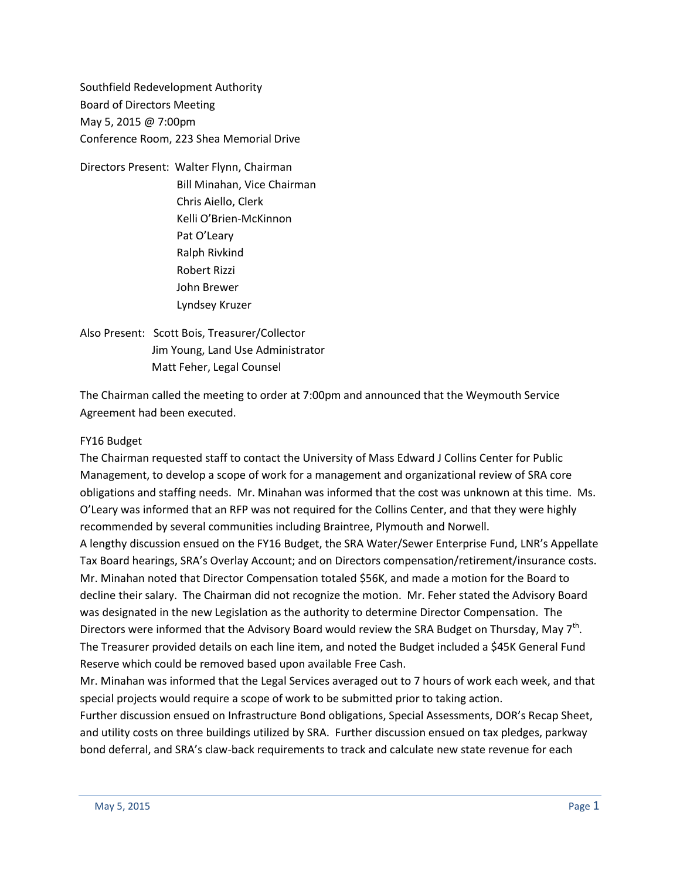Southfield Redevelopment Authority Board of Directors Meeting May 5, 2015 @ 7:00pm Conference Room, 223 Shea Memorial Drive

Directors Present: Walter Flynn, Chairman Bill Minahan, Vice Chairman Chris Aiello, Clerk Kelli O'Brien-McKinnon Pat O'Leary Ralph Rivkind Robert Rizzi John Brewer Lyndsey Kruzer

Also Present: Scott Bois, Treasurer/Collector Jim Young, Land Use Administrator Matt Feher, Legal Counsel

The Chairman called the meeting to order at 7:00pm and announced that the Weymouth Service Agreement had been executed.

### FY16 Budget

The Chairman requested staff to contact the University of Mass Edward J Collins Center for Public Management, to develop a scope of work for a management and organizational review of SRA core obligations and staffing needs. Mr. Minahan was informed that the cost was unknown at this time. Ms. O'Leary was informed that an RFP was not required for the Collins Center, and that they were highly recommended by several communities including Braintree, Plymouth and Norwell.

A lengthy discussion ensued on the FY16 Budget, the SRA Water/Sewer Enterprise Fund, LNR's Appellate Tax Board hearings, SRA's Overlay Account; and on Directors compensation/retirement/insurance costs. Mr. Minahan noted that Director Compensation totaled \$56K, and made a motion for the Board to decline their salary. The Chairman did not recognize the motion. Mr. Feher stated the Advisory Board was designated in the new Legislation as the authority to determine Director Compensation. The Directors were informed that the Advisory Board would review the SRA Budget on Thursday, May 7<sup>th</sup>. The Treasurer provided details on each line item, and noted the Budget included a \$45K General Fund Reserve which could be removed based upon available Free Cash.

Mr. Minahan was informed that the Legal Services averaged out to 7 hours of work each week, and that special projects would require a scope of work to be submitted prior to taking action.

Further discussion ensued on Infrastructure Bond obligations, Special Assessments, DOR's Recap Sheet, and utility costs on three buildings utilized by SRA. Further discussion ensued on tax pledges, parkway bond deferral, and SRA's claw-back requirements to track and calculate new state revenue for each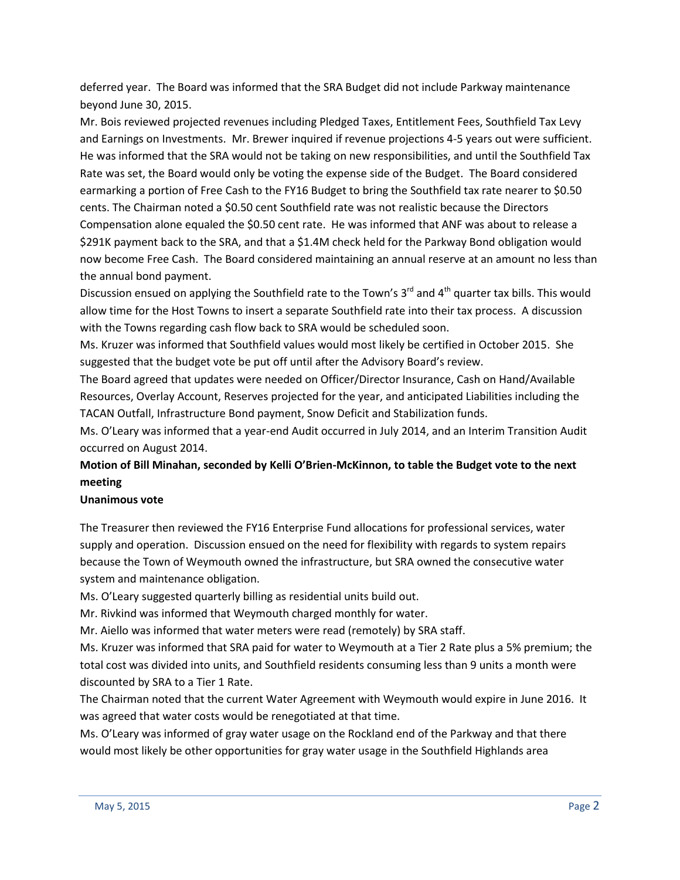deferred year. The Board was informed that the SRA Budget did not include Parkway maintenance beyond June 30, 2015.

Mr. Bois reviewed projected revenues including Pledged Taxes, Entitlement Fees, Southfield Tax Levy and Earnings on Investments. Mr. Brewer inquired if revenue projections 4-5 years out were sufficient. He was informed that the SRA would not be taking on new responsibilities, and until the Southfield Tax Rate was set, the Board would only be voting the expense side of the Budget. The Board considered earmarking a portion of Free Cash to the FY16 Budget to bring the Southfield tax rate nearer to \$0.50 cents. The Chairman noted a \$0.50 cent Southfield rate was not realistic because the Directors Compensation alone equaled the \$0.50 cent rate. He was informed that ANF was about to release a \$291K payment back to the SRA, and that a \$1.4M check held for the Parkway Bond obligation would now become Free Cash. The Board considered maintaining an annual reserve at an amount no less than the annual bond payment.

Discussion ensued on applying the Southfield rate to the Town's 3<sup>rd</sup> and 4<sup>th</sup> quarter tax bills. This would allow time for the Host Towns to insert a separate Southfield rate into their tax process. A discussion with the Towns regarding cash flow back to SRA would be scheduled soon.

Ms. Kruzer was informed that Southfield values would most likely be certified in October 2015. She suggested that the budget vote be put off until after the Advisory Board's review.

The Board agreed that updates were needed on Officer/Director Insurance, Cash on Hand/Available Resources, Overlay Account, Reserves projected for the year, and anticipated Liabilities including the TACAN Outfall, Infrastructure Bond payment, Snow Deficit and Stabilization funds.

Ms. O'Leary was informed that a year-end Audit occurred in July 2014, and an Interim Transition Audit occurred on August 2014.

## **Motion of Bill Minahan, seconded by Kelli O'Brien-McKinnon, to table the Budget vote to the next meeting**

#### **Unanimous vote**

The Treasurer then reviewed the FY16 Enterprise Fund allocations for professional services, water supply and operation. Discussion ensued on the need for flexibility with regards to system repairs because the Town of Weymouth owned the infrastructure, but SRA owned the consecutive water system and maintenance obligation.

Ms. O'Leary suggested quarterly billing as residential units build out.

Mr. Rivkind was informed that Weymouth charged monthly for water.

Mr. Aiello was informed that water meters were read (remotely) by SRA staff.

Ms. Kruzer was informed that SRA paid for water to Weymouth at a Tier 2 Rate plus a 5% premium; the total cost was divided into units, and Southfield residents consuming less than 9 units a month were discounted by SRA to a Tier 1 Rate.

The Chairman noted that the current Water Agreement with Weymouth would expire in June 2016. It was agreed that water costs would be renegotiated at that time.

Ms. O'Leary was informed of gray water usage on the Rockland end of the Parkway and that there would most likely be other opportunities for gray water usage in the Southfield Highlands area